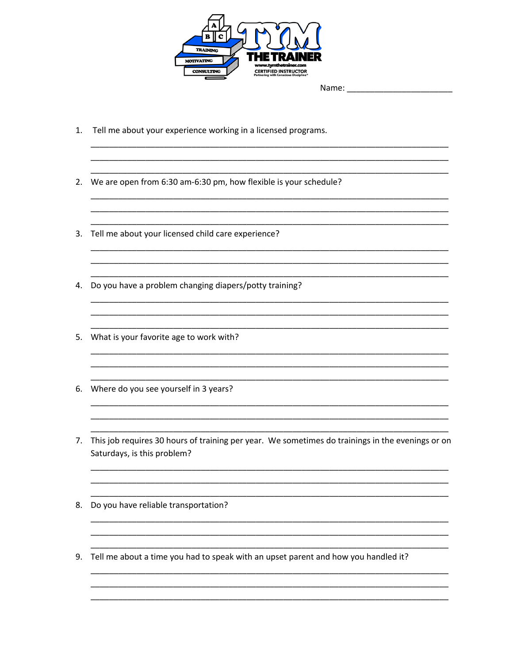

|  | Name: |  |
|--|-------|--|
|  |       |  |

- 1. Tell me about your experience working in a licensed programs.
- 2. We are open from 6:30 am-6:30 pm, how flexible is your schedule?

- 3. Tell me about your licensed child care experience?
- 4. Do you have a problem changing diapers/potty training?
- 5. What is your favorite age to work with?
- 6. Where do you see yourself in 3 years?
- 7. This job requires 30 hours of training per year. We sometimes do trainings in the evenings or on Saturdays, is this problem?
- 8. Do you have reliable transportation?
- 9. Tell me about a time you had to speak with an upset parent and how you handled it?